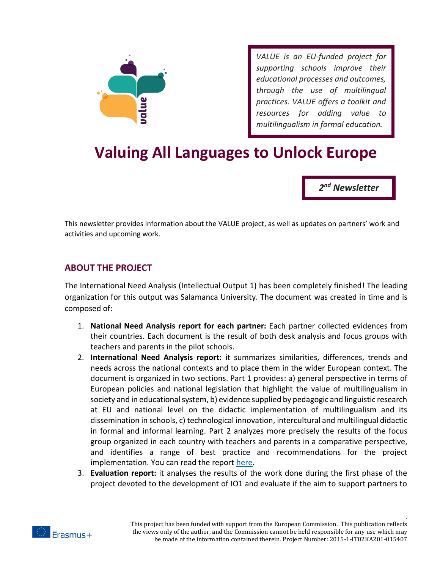

*VALUE is an EU-funded project for supporting schools improve their educational processes and outcomes, through the use of multilingual practices. VALUE offers a toolkit and resources for adding value to multilingualism in formal education.*

# **Valuing All Languages to Unlock Europe**

*2 nd Newsletter*

.

This newsletter provides information about the VALUE project, as well as updates on partners' work and activities and upcoming work.

#### **ABOUT THE PROJECT**

The International Need Analysis (Intellectual Output 1) has been completely finished! The leading organization for this output was Salamanca University. The document was created in time and is composed of:

- 1. **National Need Analysis report for each partner:** Each partner collected evidences from their countries. Each document is the result of both desk analysis and focus groups with teachers and parents in the pilot schools.
- 2. **International Need Analysis report:** it summarizes similarities, differences, trends and needs across the national contexts and to place them in the wider European context. The document is organized in two sections. Part 1 provides: a) general perspective in terms of European policies and national legislation that highlight the value of multilingualism in society and in educational system, b) evidence supplied by pedagogic and linguistic research at EU and national level on the didactic implementation of multilingualism and its dissemination in schools, c) technological innovation, intercultural and multilingual didactic in formal and informal learning. Part 2 analyzes more precisely the results of the focus group organized in each country with teachers and parents in a comparative perspective, and identifies a range of best practice and recommendations for the project implementation. You can read the report [here.](http://valuemultilingualism.org/index.php/en/news/80-value-intellectual-output)
- 3. **Evaluation report:** it analyses the results of the work done during the first phase of the project devoted to the development of IO1 and evaluate if the aim to support partners to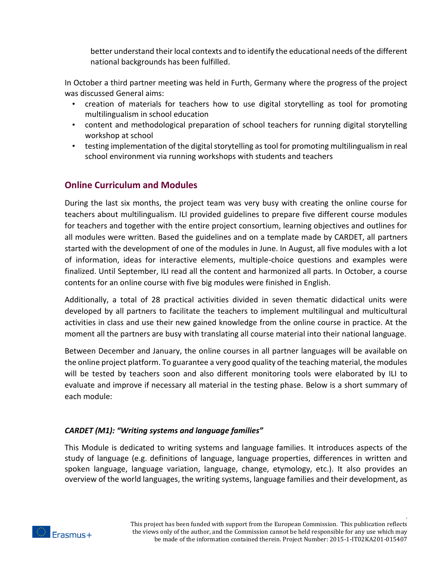better understand their local contexts and to identify the educational needs of the different national backgrounds has been fulfilled.

In October a third partner meeting was held in Furth, Germany where the progress of the project was discussed General aims:

- creation of materials for teachers how to use digital storytelling as tool for promoting multilingualism in school education
- content and methodological preparation of school teachers for running digital storytelling workshop at school
- testing implementation of the digital storytelling as tool for promoting multilingualism in real school environment via running workshops with students and teachers

## **Online Curriculum and Modules**

During the last six months, the project team was very busy with creating the online course for teachers about multilingualism. ILI provided guidelines to prepare five different course modules for teachers and together with the entire project consortium, learning objectives and outlines for all modules were written. Based the guidelines and on a template made by CARDET, all partners started with the development of one of the modules in June. In August, all five modules with a lot of information, ideas for interactive elements, multiple-choice questions and examples were finalized. Until September, ILI read all the content and harmonized all parts. In October, a course contents for an online course with five big modules were finished in English.

Additionally, a total of 28 practical activities divided in seven thematic didactical units were developed by all partners to facilitate the teachers to implement multilingual and multicultural activities in class and use their new gained knowledge from the online course in practice. At the moment all the partners are busy with translating all course material into their national language.

Between December and January, the online courses in all partner languages will be available on the online project platform. To guarantee a very good quality of the teaching material, the modules will be tested by teachers soon and also different monitoring tools were elaborated by ILI to evaluate and improve if necessary all material in the testing phase. Below is a short summary of each module:

#### *CARDET (M1): "Writing systems and language families"*

This Module is dedicated to writing systems and language families. It introduces aspects of the study of language (e.g. definitions of language, language properties, differences in written and spoken language, language variation, language, change, etymology, etc.). It also provides an overview of the world languages, the writing systems, language families and their development, as

.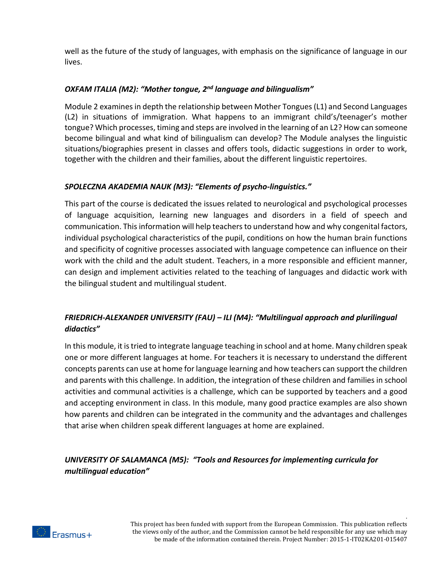well as the future of the study of languages, with emphasis on the significance of language in our lives.

### *OXFAM ITALIA (M2): "Mother tongue, 2nd language and bilingualism"*

Module 2 examines in depth the relationship between Mother Tongues (L1) and Second Languages (L2) in situations of immigration. What happens to an immigrant child's/teenager's mother tongue? Which processes, timing and steps are involved in the learning of an L2? How can someone become bilingual and what kind of bilingualism can develop? The Module analyses the linguistic situations/biographies present in classes and offers tools, didactic suggestions in order to work, together with the children and their families, about the different linguistic repertoires.

#### *SPOLECZNA AKADEMIA NAUK (M3): "Elements of psycho-linguistics."*

This part of the course is dedicated the issues related to neurological and psychological processes of language acquisition, learning new languages and disorders in a field of speech and communication. This information will help teachers to understand how and why congenital factors, individual psychological characteristics of the pupil, conditions on how the human brain functions and specificity of cognitive processes associated with language competence can influence on their work with the child and the adult student. Teachers, in a more responsible and efficient manner, can design and implement activities related to the teaching of languages and didactic work with the bilingual student and multilingual student.

## *FRIEDRICH-ALEXANDER UNIVERSITY (FAU) – ILI (M4): "Multilingual approach and plurilingual didactics"*

In this module, it is tried to integrate language teaching in school and at home. Many children speak one or more different languages at home. For teachers it is necessary to understand the different concepts parents can use at home for language learning and how teachers can support the children and parents with this challenge. In addition, the integration of these children and families in school activities and communal activities is a challenge, which can be supported by teachers and a good and accepting environment in class. In this module, many good practice examples are also shown how parents and children can be integrated in the community and the advantages and challenges that arise when children speak different languages at home are explained.

## *UNIVERSITY OF SALAMANCA (M5): "Tools and Resources for implementing curricula for multilingual education"*



.